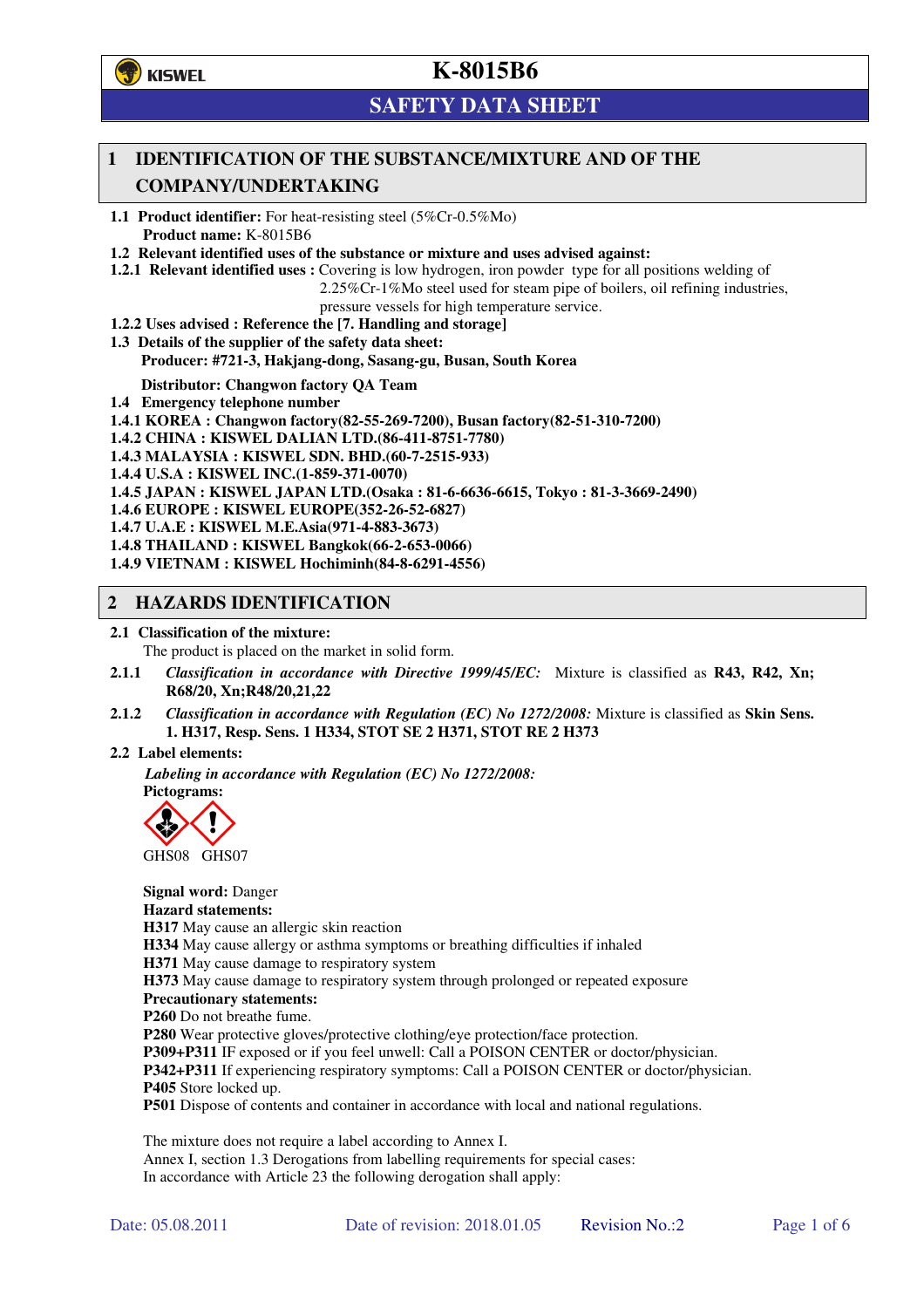

# **SAFETY DATA SHEET**

## **1 IDENTIFICATION OF THE SUBSTANCE/MIXTURE AND OF THE COMPANY/UNDERTAKING**

**1.1 Product identifier:** For heat-resisting steel (5%Cr-0.5%Mo) **Product name:** K-8015B6

**1.2 Relevant identified uses of the substance or mixture and uses advised against:**

**1.2.1 Relevant identified uses :** Covering is low hydrogen, iron powder type for all positions welding of

2.25%Cr-1%Mo steel used for steam pipe of boilers, oil refining industries,

pressure vessels for high temperature service.

- **1.2.2 Uses advised : Reference the [7. Handling and storage]**
- **1.3 Details of the supplier of the safety data sheet: Producer: #721-3, Hakjang-dong, Sasang-gu, Busan, South Korea**

**Distributor: Changwon factory QA Team** 

- **1.4 Emergency telephone number**
- **1.4.1 KOREA : Changwon factory(82-55-269-7200), Busan factory(82-51-310-7200)**

**1.4.2 CHINA : KISWEL DALIAN LTD.(86-411-8751-7780)** 

**1.4.3 MALAYSIA : KISWEL SDN. BHD.(60-7-2515-933)** 

**1.4.4 U.S.A : KISWEL INC.(1-859-371-0070)** 

**1.4.5 JAPAN : KISWEL JAPAN LTD.(Osaka : 81-6-6636-6615, Tokyo : 81-3-3669-2490)** 

**1.4.6 EUROPE : KISWEL EUROPE(352-26-52-6827)** 

**1.4.7 U.A.E : KISWEL M.E.Asia(971-4-883-3673)** 

**1.4.8 THAILAND : KISWEL Bangkok(66-2-653-0066)** 

**1.4.9 VIETNAM : KISWEL Hochiminh(84-8-6291-4556)** 

### **2 HAZARDS IDENTIFICATION**

#### **2.1 Classification of the mixture:**

The product is placed on the market in solid form.

- **2.1.1** *Classification in accordance with Directive 1999/45/EC:* Mixture is classified as **R43, R42, Xn; R68/20, Xn;R48/20,21,22**
- **2.1.2** *Classification in accordance with Regulation (EC) No 1272/2008:* Mixture is classified as **Skin Sens. 1. H317, Resp. Sens. 1 H334, STOT SE 2 H371, STOT RE 2 H373**

#### **2.2 Label elements:**

*Labeling in accordance with Regulation (EC) No 1272/2008:*  **Pictograms:** 



GHS08 GHS07

**Signal word:** Danger **Hazard statements: H317** May cause an allergic skin reaction **H334** May cause allergy or asthma symptoms or breathing difficulties if inhaled **H371** May cause damage to respiratory system **H373** May cause damage to respiratory system through prolonged or repeated exposure **Precautionary statements: P260** Do not breathe fume. **P280** Wear protective gloves/protective clothing/eye protection/face protection. **P309+P311** IF exposed or if you feel unwell: Call a POISON CENTER or doctor/physician. **P342+P311** If experiencing respiratory symptoms: Call a POISON CENTER or doctor/physician. **P405** Store locked up. **P501** Dispose of contents and container in accordance with local and national regulations.

The mixture does not require a label according to Annex I. Annex I, section 1.3 Derogations from labelling requirements for special cases: In accordance with Article 23 the following derogation shall apply: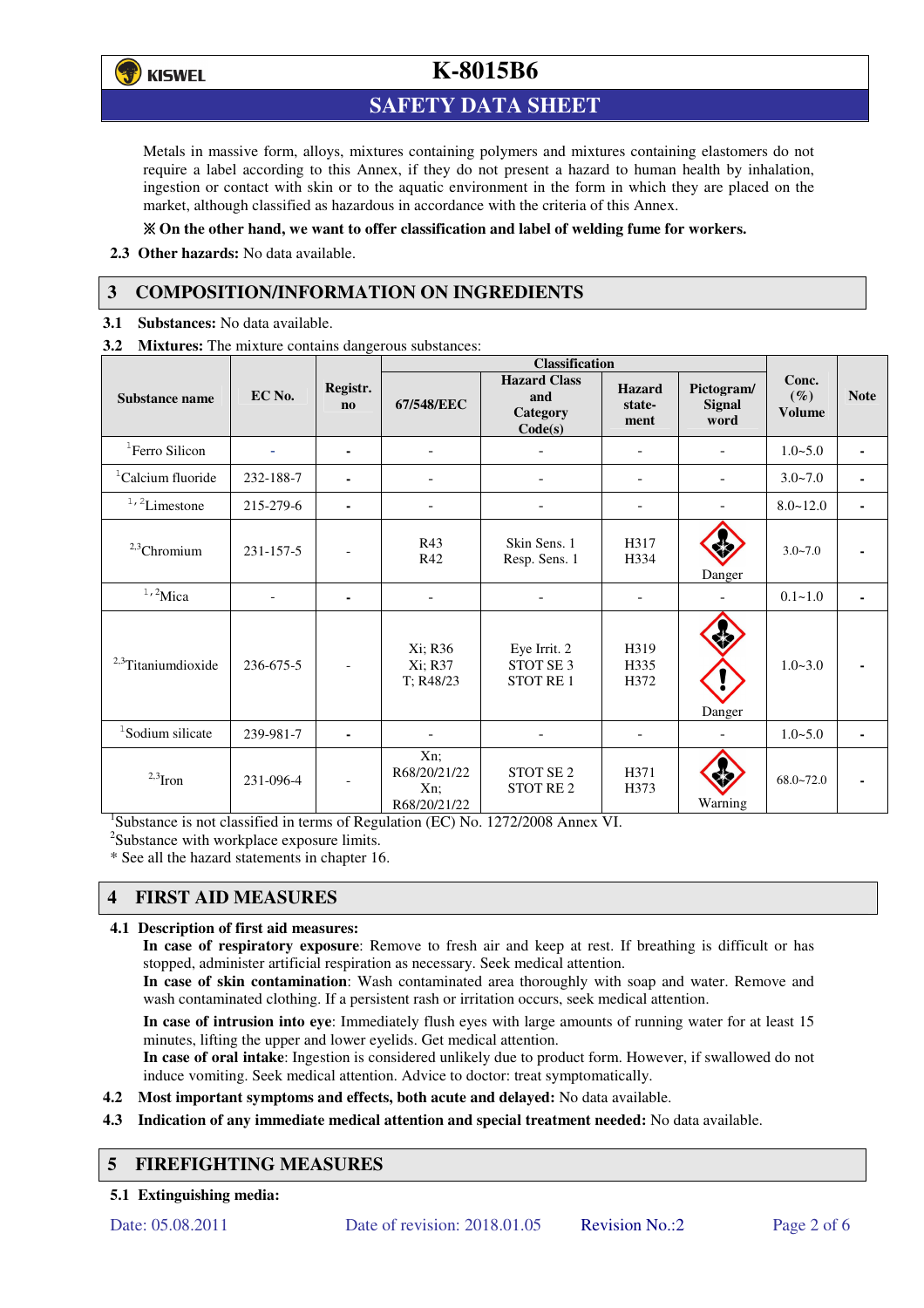

# **SAFETY DATA SHEET**

Metals in massive form, alloys, mixtures containing polymers and mixtures containing elastomers do not require a label according to this Annex, if they do not present a hazard to human health by inhalation, ingestion or contact with skin or to the aquatic environment in the form in which they are placed on the market, although classified as hazardous in accordance with the criteria of this Annex.

### **On the other hand, we want to offer classification and label of welding fume for workers.**

**2.3 Other hazards:** No data available.

# **3 COMPOSITION/INFORMATION ON INGREDIENTS**

**3.1 Substances:** No data available.

**3.2 Mixtures:** The mixture contains dangerous substances:

|                                |           |                                    | <b>Classification</b>                         |                                                          |                                 |                                     |                                  |             |
|--------------------------------|-----------|------------------------------------|-----------------------------------------------|----------------------------------------------------------|---------------------------------|-------------------------------------|----------------------------------|-------------|
| <b>Substance name</b>          | EC No.    | Registr.<br>$\mathbf{n}\mathbf{o}$ | 67/548/EEC                                    | <b>Hazard Class</b><br>and<br><b>Category</b><br>Code(s) | <b>Hazard</b><br>state-<br>ment | Pictogram/<br><b>Signal</b><br>word | Conc.<br>$(\%)$<br><b>Volume</b> | <b>Note</b> |
| <sup>1</sup> Ferro Silicon     |           | ۰                                  |                                               |                                                          | -                               |                                     | $1.0 - 5.0$                      |             |
| <sup>1</sup> Calcium fluoride  | 232-188-7 | ٠                                  |                                               |                                                          | ۰                               |                                     | $3.0 - 7.0$                      |             |
| $1/2$ Limestone                | 215-279-6 | $\blacksquare$                     | $\blacksquare$                                |                                                          | -                               |                                     | $8.0 - 12.0$                     |             |
| $2,3$ Chromium                 | 231-157-5 |                                    | R43<br>R42                                    | Skin Sens. 1<br>Resp. Sens. 1                            | H317<br>H334                    | Danger                              | $3.0 - 7.0$                      |             |
| $1,2$ Mica                     |           | $\blacksquare$                     | ٠                                             |                                                          |                                 |                                     | $0.1 - 1.0$                      |             |
| <sup>2,3</sup> Titaniumdioxide | 236-675-5 | $\overline{\phantom{a}}$           | Xi; R36<br>Xi; R37<br>T; R48/23               | Eye Irrit. 2<br>STOT SE <sub>3</sub><br>STOT RE 1        | H319<br>H335<br>H372            | Danger                              | $1.0 - 3.0$                      |             |
| <sup>1</sup> Sodium silicate   | 239-981-7 |                                    |                                               |                                                          |                                 |                                     | $1.0 - 5.0$                      |             |
| $2,3$ Iron                     | 231-096-4 |                                    | Xn;<br>R68/20/21/22<br>$Xn$ :<br>R68/20/21/22 | STOT SE <sub>2</sub><br><b>STOT RE2</b>                  | H371<br>H373                    | Warning                             | $68.0 - 72.0$                    |             |

<sup>1</sup>Substance is not classified in terms of Regulation (EC) No. 1272/2008 Annex VI.

<sup>2</sup>Substance with workplace exposure limits.

\* See all the hazard statements in chapter 16.

# **4 FIRST AID MEASURES**

#### **4.1 Description of first aid measures:**

**In case of respiratory exposure**: Remove to fresh air and keep at rest. If breathing is difficult or has stopped, administer artificial respiration as necessary. Seek medical attention.

**In case of skin contamination**: Wash contaminated area thoroughly with soap and water. Remove and wash contaminated clothing. If a persistent rash or irritation occurs, seek medical attention.

 **In case of intrusion into eye**: Immediately flush eyes with large amounts of running water for at least 15 minutes, lifting the upper and lower eyelids. Get medical attention.

**In case of oral intake**: Ingestion is considered unlikely due to product form. However, if swallowed do not induce vomiting. Seek medical attention. Advice to doctor: treat symptomatically.

- **4.2 Most important symptoms and effects, both acute and delayed:** No data available.
- **4.3 Indication of any immediate medical attention and special treatment needed:** No data available.

## **5 FIREFIGHTING MEASURES**

**5.1 Extinguishing media:**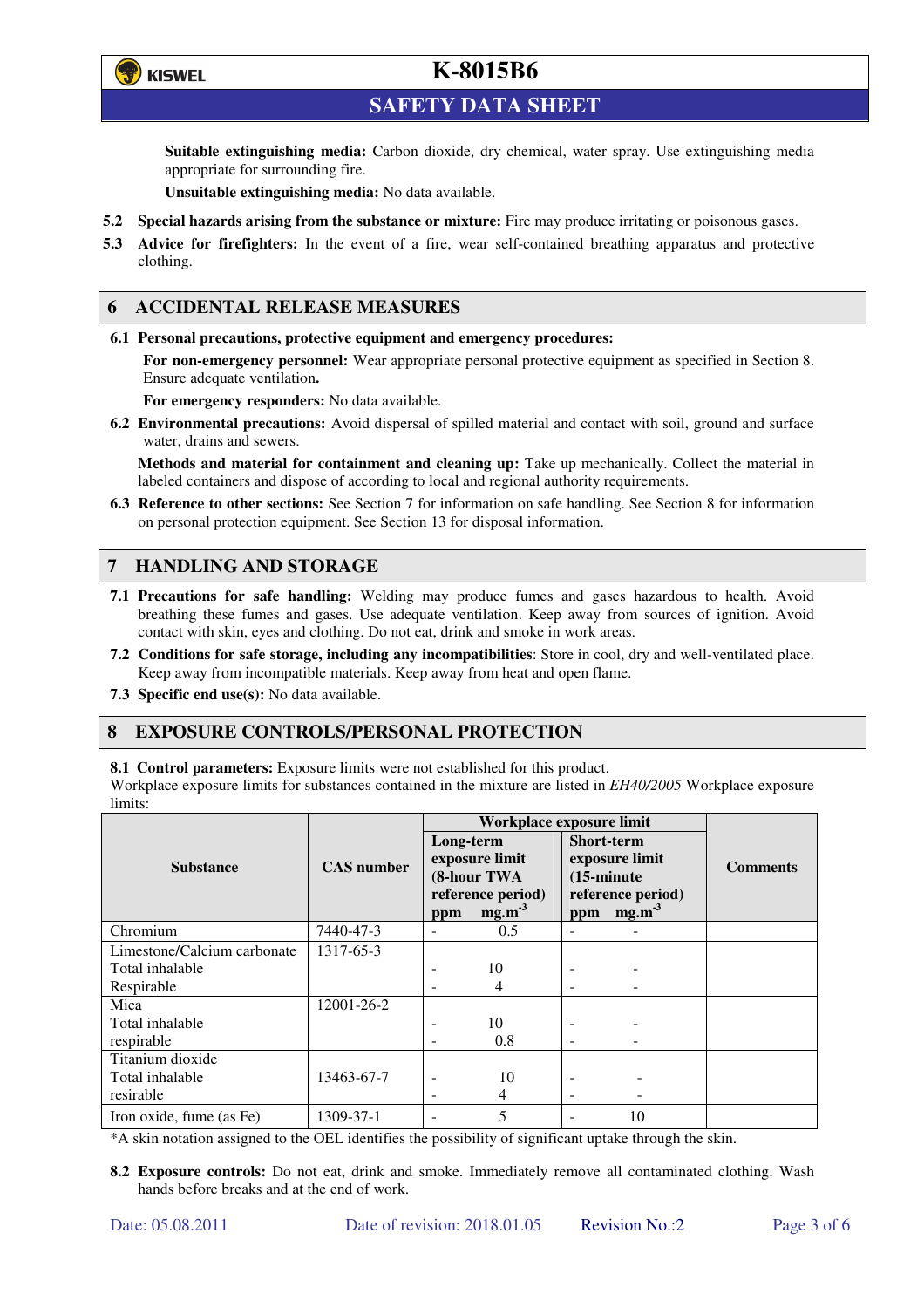

**SAFETY DATA SHEET** 

**Suitable extinguishing media:** Carbon dioxide, dry chemical, water spray. Use extinguishing media appropriate for surrounding fire.

**Unsuitable extinguishing media:** No data available.

- **5.2 Special hazards arising from the substance or mixture:** Fire may produce irritating or poisonous gases.
- **5.3 Advice for firefighters:** In the event of a fire, wear self-contained breathing apparatus and protective clothing.

### **6 ACCIDENTAL RELEASE MEASURES**

**6.1 Personal precautions, protective equipment and emergency procedures:** 

**For non-emergency personnel:** Wear appropriate personal protective equipment as specified in Section 8. Ensure adequate ventilation**.** 

**For emergency responders:** No data available.

**6.2 Environmental precautions:** Avoid dispersal of spilled material and contact with soil, ground and surface water, drains and sewers.

**Methods and material for containment and cleaning up:** Take up mechanically. Collect the material in labeled containers and dispose of according to local and regional authority requirements.

**6.3 Reference to other sections:** See Section 7 for information on safe handling. See Section 8 for information on personal protection equipment. See Section 13 for disposal information.

## **7 HANDLING AND STORAGE**

- **7.1 Precautions for safe handling:** Welding may produce fumes and gases hazardous to health. Avoid breathing these fumes and gases. Use adequate ventilation. Keep away from sources of ignition. Avoid contact with skin, eyes and clothing. Do not eat, drink and smoke in work areas.
- **7.2 Conditions for safe storage, including any incompatibilities**: Store in cool, dry and well-ventilated place. Keep away from incompatible materials. Keep away from heat and open flame.
- **7.3 Specific end use(s):** No data available.

### **8 EXPOSURE CONTROLS/PERSONAL PROTECTION**

**8.1 Control parameters:** Exposure limits were not established for this product.

Workplace exposure limits for substances contained in the mixture are listed in *EH40/2005* Workplace exposure limits:

|                             |                   | Workplace exposure limit                   |          |                                                             |                   |                 |  |
|-----------------------------|-------------------|--------------------------------------------|----------|-------------------------------------------------------------|-------------------|-----------------|--|
|                             |                   | Long-term<br>exposure limit<br>(8-hour TWA |          | <b>Short-term</b><br>exposure limit<br>$(15\text{-minute})$ |                   | <b>Comments</b> |  |
| <b>Substance</b>            | <b>CAS</b> number |                                            |          |                                                             |                   |                 |  |
|                             |                   |                                            |          |                                                             |                   |                 |  |
|                             |                   | reference period)                          |          | reference period)                                           |                   |                 |  |
|                             |                   | ppm                                        | $mg.m-3$ | ppm                                                         | mg.m <sup>3</sup> |                 |  |
| Chromium                    | 7440-47-3         | ٠                                          | 0.5      |                                                             |                   |                 |  |
| Limestone/Calcium carbonate | 1317-65-3         |                                            |          |                                                             |                   |                 |  |
| Total inhalable             |                   |                                            | 10       |                                                             |                   |                 |  |
| Respirable                  |                   |                                            | 4        |                                                             |                   |                 |  |
| Mica                        | 12001-26-2        |                                            |          |                                                             |                   |                 |  |
| Total inhalable             |                   | ٠                                          | 10       |                                                             |                   |                 |  |
| respirable                  |                   | -                                          | 0.8      | ۰                                                           |                   |                 |  |
| Titanium dioxide            |                   |                                            |          |                                                             |                   |                 |  |
| Total inhalable             | 13463-67-7        | -                                          | 10       |                                                             |                   |                 |  |
| resirable                   |                   |                                            | 4        |                                                             |                   |                 |  |
| Iron oxide, fume (as Fe)    | 1309-37-1         |                                            | 5        |                                                             | 10                |                 |  |

\*A skin notation assigned to the OEL identifies the possibility of significant uptake through the skin.

**8.2 Exposure controls:** Do not eat, drink and smoke. Immediately remove all contaminated clothing. Wash hands before breaks and at the end of work.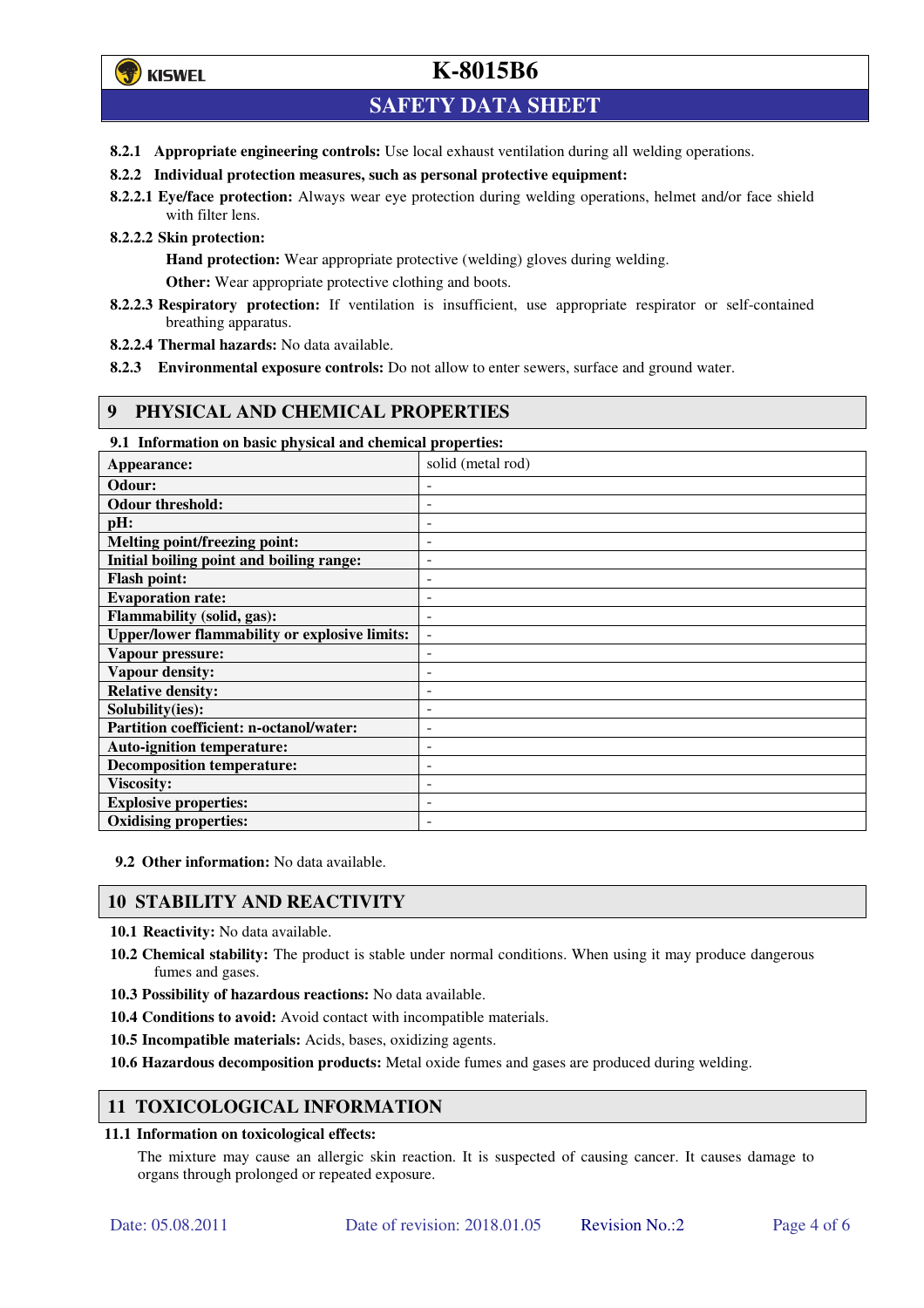# **SAFETY DATA SHEET**

- **8.2.1 Appropriate engineering controls:** Use local exhaust ventilation during all welding operations.
- **8.2.2 Individual protection measures, such as personal protective equipment:**
- **8.2.2.1 Eye/face protection:** Always wear eye protection during welding operations, helmet and/or face shield with filter lens.
- **8.2.2.2 Skin protection:**

**Hand protection:** Wear appropriate protective (welding) gloves during welding.

**Other:** Wear appropriate protective clothing and boots.

- **8.2.2.3 Respiratory protection:** If ventilation is insufficient, use appropriate respirator or self-contained breathing apparatus.
- **8.2.2.4 Thermal hazards:** No data available.
- **8.2.3 Environmental exposure controls:** Do not allow to enter sewers, surface and ground water.

### **9 PHYSICAL AND CHEMICAL PROPERTIES**

**9.1 Information on basic physical and chemical properties:** 

| Appearance:                                          | solid (metal rod)        |
|------------------------------------------------------|--------------------------|
| Odour:                                               |                          |
| <b>Odour threshold:</b>                              |                          |
| pH:                                                  | -                        |
| Melting point/freezing point:                        | -                        |
| Initial boiling point and boiling range:             | -                        |
| <b>Flash point:</b>                                  |                          |
| <b>Evaporation rate:</b>                             |                          |
| Flammability (solid, gas):                           |                          |
| <b>Upper/lower flammability or explosive limits:</b> | $\overline{\phantom{a}}$ |
| Vapour pressure:                                     | -                        |
| Vapour density:                                      |                          |
| <b>Relative density:</b>                             |                          |
| Solubility(ies):                                     |                          |
| Partition coefficient: n-octanol/water:              |                          |
| <b>Auto-ignition temperature:</b>                    | $\overline{a}$           |
| <b>Decomposition temperature:</b>                    | $\overline{a}$           |
| <b>Viscosity:</b>                                    |                          |
| <b>Explosive properties:</b>                         |                          |
| <b>Oxidising properties:</b>                         |                          |

**9.2 Other information:** No data available.

## **10 STABILITY AND REACTIVITY**

**10.1 Reactivity:** No data available.

- **10.2 Chemical stability:** The product is stable under normal conditions. When using it may produce dangerous fumes and gases.
- **10.3 Possibility of hazardous reactions:** No data available.
- **10.4 Conditions to avoid:** Avoid contact with incompatible materials.
- **10.5 Incompatible materials:** Acids, bases, oxidizing agents.

**10.6 Hazardous decomposition products:** Metal oxide fumes and gases are produced during welding.

### **11 TOXICOLOGICAL INFORMATION**

#### **11.1 Information on toxicological effects:**

The mixture may cause an allergic skin reaction. It is suspected of causing cancer. It causes damage to organs through prolonged or repeated exposure.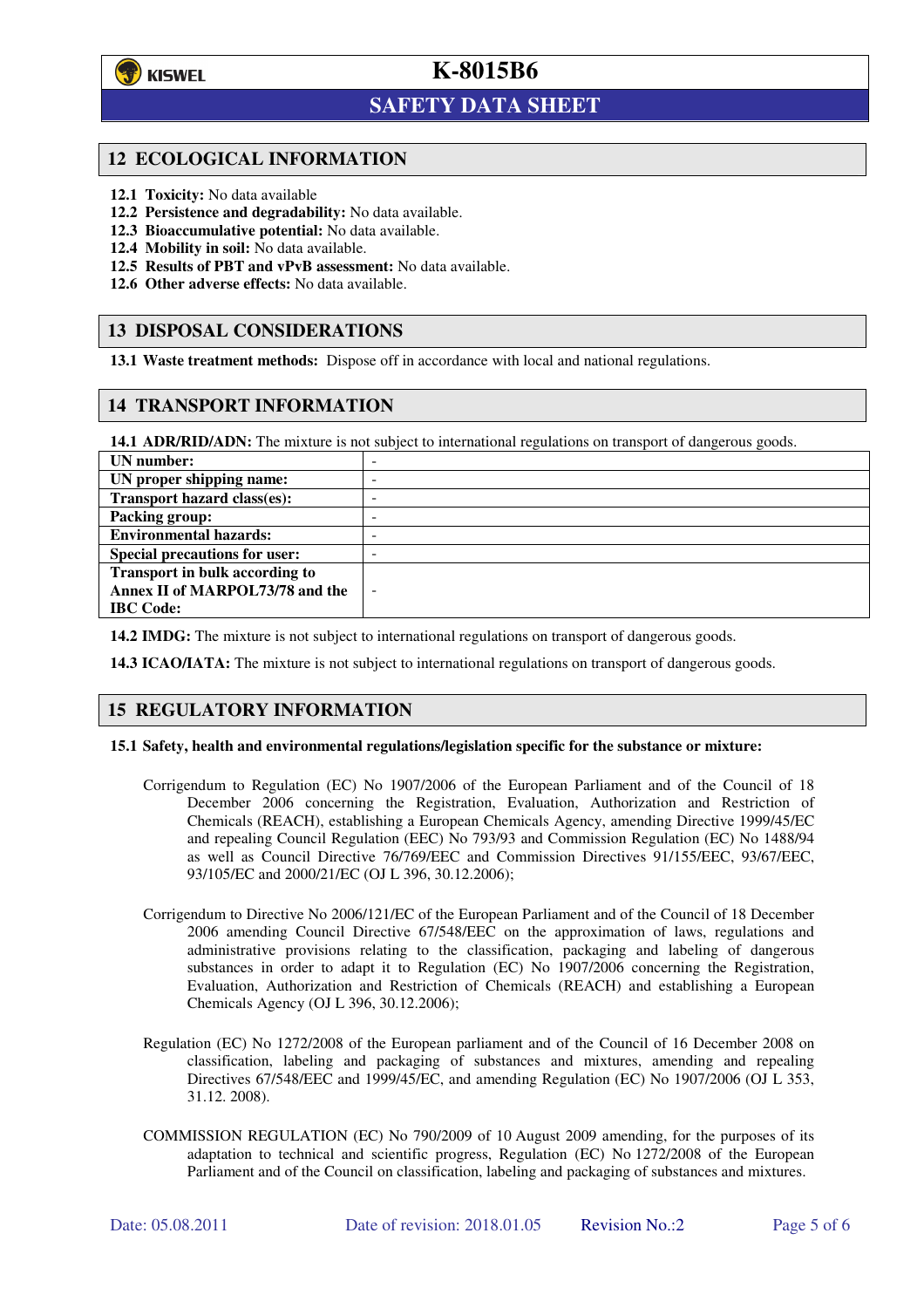

l

# **K-8015B6**

# **SAFETY DATA SHEET**

### **12 ECOLOGICAL INFORMATION**

- **12.1 Toxicity:** No data available
- **12.2 Persistence and degradability:** No data available.
- **12.3 Bioaccumulative potential:** No data available.
- **12.4 Mobility in soil:** No data available.
- **12.5 Results of PBT and vPvB assessment:** No data available.
- **12.6 Other adverse effects:** No data available.

### **13 DISPOSAL CONSIDERATIONS**

**13.1 Waste treatment methods:** Dispose off in accordance with local and national regulations.

### **14 TRANSPORT INFORMATION**

**14.1 ADR/RID/ADN:** The mixture is not subject to international regulations on transport of dangerous goods.

| UN number:                            | $\overline{\phantom{a}}$ |
|---------------------------------------|--------------------------|
| UN proper shipping name:              | -                        |
| Transport hazard class(es):           | $\overline{\phantom{a}}$ |
| <b>Packing group:</b>                 | -                        |
| <b>Environmental hazards:</b>         | -                        |
| <b>Special precautions for user:</b>  | -                        |
| <b>Transport in bulk according to</b> |                          |
| Annex II of MARPOL73/78 and the       | $\overline{\phantom{a}}$ |
| <b>IBC</b> Code:                      |                          |

**14.2 IMDG:** The mixture is not subject to international regulations on transport of dangerous goods.

**14.3 ICAO/IATA:** The mixture is not subject to international regulations on transport of dangerous goods.

#### **15 REGULATORY INFORMATION**

#### **15.1 Safety, health and environmental regulations/legislation specific for the substance or mixture:**

- Corrigendum to Regulation (EC) No 1907/2006 of the European Parliament and of the Council of 18 December 2006 concerning the Registration, Evaluation, Authorization and Restriction of Chemicals (REACH), establishing a European Chemicals Agency, amending Directive 1999/45/EC and repealing Council Regulation (EEC) No 793/93 and Commission Regulation (EC) No 1488/94 as well as Council Directive 76/769/EEC and Commission Directives 91/155/EEC, 93/67/EEC, 93/105/EC and 2000/21/EC (OJ L 396, 30.12.2006);
- Corrigendum to Directive No 2006/121/EC of the European Parliament and of the Council of 18 December 2006 amending Council Directive 67/548/EEC on the approximation of laws, regulations and administrative provisions relating to the classification, packaging and labeling of dangerous substances in order to adapt it to Regulation (EC) No 1907/2006 concerning the Registration, Evaluation, Authorization and Restriction of Chemicals (REACH) and establishing a European Chemicals Agency (OJ L 396, 30.12.2006);
- Regulation (EC) No 1272/2008 of the European parliament and of the Council of 16 December 2008 on classification, labeling and packaging of substances and mixtures, amending and repealing Directives 67/548/EEC and 1999/45/EC, and amending Regulation (EC) No 1907/2006 (OJ L 353, 31.12. 2008).
- COMMISSION REGULATION (EC) No 790/2009 of 10 August 2009 amending, for the purposes of its adaptation to technical and scientific progress, Regulation (EC) No 1272/2008 of the European Parliament and of the Council on classification, labeling and packaging of substances and mixtures.